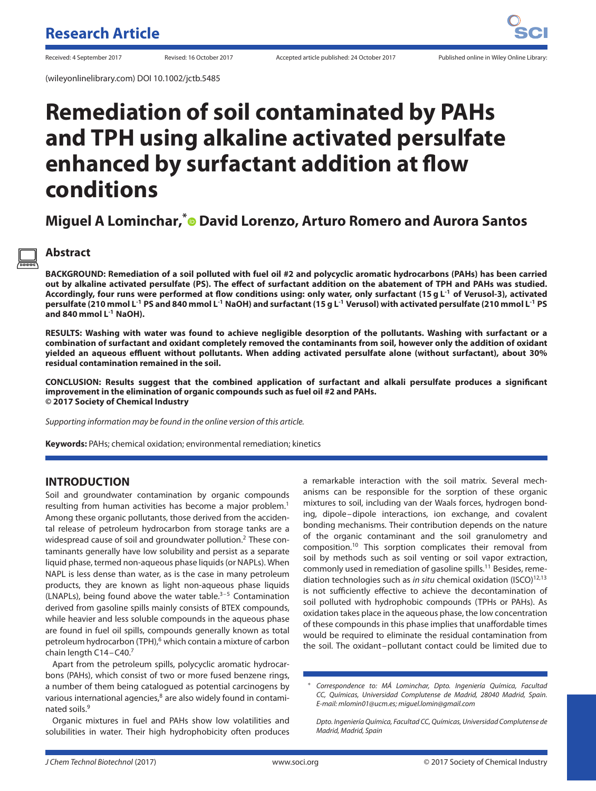(wileyonlinelibrary.com) DOI 10.1002/jctb.5485

# **Remediation of soil contaminated by PAHs and TPH using alkaline activated persulfate enhanced by surfactant addition at flow conditions**

## **Miguel A Lominchar,[\\*](http://orcid.org/0000-0002-2827-7066) David Lorenzo, Arturo Romero and Aurora Santos**

## **Abstract**

**BACKGROUND: Remediation of a soil polluted with fuel oil #2 and polycyclic aromatic hydrocarbons (PAHs) has been carried out by alkaline activated persulfate (PS). The effect of surfactant addition on the abatement of TPH and PAHs was studied. Accordingly, four runs were performed at flow conditions using: only water, only surfactant (15 g L-1 of Verusol-3), activated persulfate (210 mmol L-1 PS and 840 mmol L-1 NaOH) and surfactant (15 g L-1 Verusol) with activated persulfate (210 mmol L-1 PS and 840 mmol L-1 NaOH).**

**RESULTS: Washing with water was found to achieve negligible desorption of the pollutants. Washing with surfactant or a combination of surfactant and oxidant completely removed the contaminants from soil, however only the addition of oxidant yielded an aqueous effluent without pollutants. When adding activated persulfate alone (without surfactant), about 30% residual contamination remained in the soil.**

**CONCLUSION: Results suggest that the combined application of surfactant and alkali persulfate produces a significant improvement in the elimination of organic compounds such as fuel oil #2 and PAHs. © 2017 Society of Chemical Industry**

Supporting information may be found in the online version of this article.

**Keywords:** PAHs; chemical oxidation; environmental remediation; kinetics

## **INTRODUCTION**

Soil and groundwater contamination by organic compounds resulting from human activities has become a major problem.<sup>1</sup> Among these organic pollutants, those derived from the accidental release of petroleum hydrocarbon from storage tanks are a widespread cause of soil and groundwater pollution.<sup>2</sup> These contaminants generally have low solubility and persist as a separate liquid phase, termed non-aqueous phase liquids (or NAPLs). When NAPL is less dense than water, as is the case in many petroleum products, they are known as light non-aqueous phase liquids (LNAPLs), being found above the water table. $3-5$  Contamination derived from gasoline spills mainly consists of BTEX compounds, while heavier and less soluble compounds in the aqueous phase are found in fuel oil spills, compounds generally known as total petroleum hydrocarbon (TPH),<sup>6</sup> which contain a mixture of carbon chain length C14-C40.<sup>7</sup>

Apart from the petroleum spills, polycyclic aromatic hydrocarbons (PAHs), which consist of two or more fused benzene rings, a number of them being catalogued as potential carcinogens by various international agencies,<sup>8</sup> are also widely found in contaminated soils.9

Organic mixtures in fuel and PAHs show low volatilities and solubilities in water. Their high hydrophobicity often produces a remarkable interaction with the soil matrix. Several mechanisms can be responsible for the sorption of these organic mixtures to soil, including van der Waals forces, hydrogen bonding, dipole–dipole interactions, ion exchange, and covalent bonding mechanisms. Their contribution depends on the nature of the organic contaminant and the soil granulometry and composition.10 This sorption complicates their removal from soil by methods such as soil venting or soil vapor extraction, commonly used in remediation of gasoline spills.11 Besides, remediation technologies such as in situ chemical oxidation (ISCO)<sup>12,13</sup> is not sufficiently effective to achieve the decontamination of soil polluted with hydrophobic compounds (TPHs or PAHs). As oxidation takes place in the aqueous phase, the low concentration of these compounds in this phase implies that unaffordable times would be required to eliminate the residual contamination from the soil. The oxidant–pollutant contact could be limited due to

<sup>∗</sup> Correspondence to: MÁ Lominchar, Dpto. Ingeniería Química, Facultad CC, Químicas, Universidad Complutense de Madrid, 28040 Madrid, Spain. E-mail: mlomin01@ucm.es; miguel.lomin@gmail.com

Dpto. Ingeniería Química, Facultad CC, Químicas, Universidad Complutense de Madrid, Madrid, Spain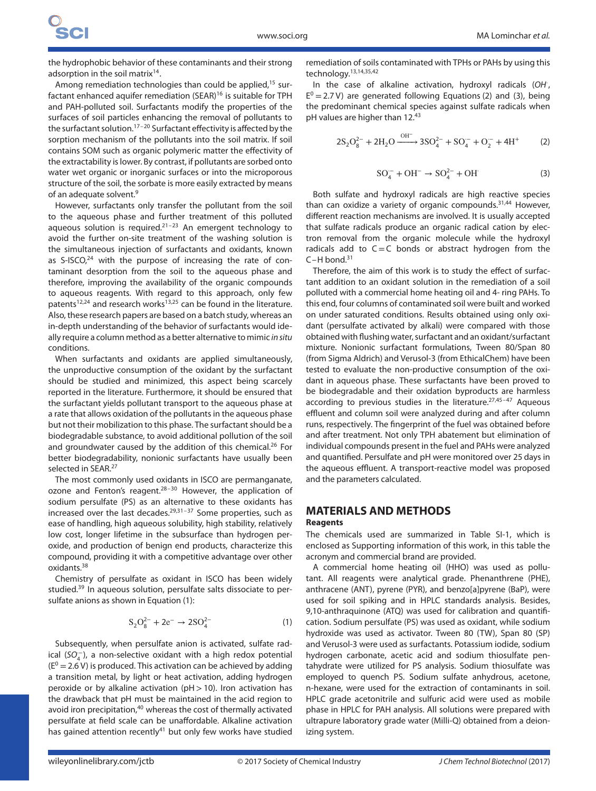the hydrophobic behavior of these contaminants and their strong adsorption in the soil matrix $14$ .

Among remediation technologies than could be applied,<sup>15</sup> surfactant enhanced aquifer remediation (SEAR)<sup>16</sup> is suitable for TPH and PAH-polluted soil. Surfactants modify the properties of the surfaces of soil particles enhancing the removal of pollutants to the surfactant solution.17–20 Surfactant effectivity is affected by the sorption mechanism of the pollutants into the soil matrix. If soil contains SOM such as organic polymeric matter the effectivity of the extractability is lower. By contrast, if pollutants are sorbed onto water wet organic or inorganic surfaces or into the microporous structure of the soil, the sorbate is more easily extracted by means of an adequate solvent.9

However, surfactants only transfer the pollutant from the soil to the aqueous phase and further treatment of this polluted aqueous solution is required. $21-23$  An emergent technology to avoid the further on-site treatment of the washing solution is the simultaneous injection of surfactants and oxidants, known as S-ISCO, $24$  with the purpose of increasing the rate of contaminant desorption from the soil to the aqueous phase and therefore, improving the availability of the organic compounds to aqueous reagents. With regard to this approach, only few patents<sup>12,24</sup> and research works<sup>13,25</sup> can be found in the literature. Also, these research papers are based on a batch study, whereas an in-depth understanding of the behavior of surfactants would ideally require a column method as a better alternative to mimic in situ conditions.

When surfactants and oxidants are applied simultaneously, the unproductive consumption of the oxidant by the surfactant should be studied and minimized, this aspect being scarcely reported in the literature. Furthermore, it should be ensured that the surfactant yields pollutant transport to the aqueous phase at a rate that allows oxidation of the pollutants in the aqueous phase but not their mobilization to this phase. The surfactant should be a biodegradable substance, to avoid additional pollution of the soil and groundwater caused by the addition of this chemical.<sup>26</sup> For better biodegradability, nonionic surfactants have usually been selected in SEAR.<sup>27</sup>

The most commonly used oxidants in ISCO are permanganate, ozone and Fenton's reagent. $28-30$  However, the application of sodium persulfate (PS) as an alternative to these oxidants has increased over the last decades.29,31–37 Some properties, such as ease of handling, high aqueous solubility, high stability, relatively low cost, longer lifetime in the subsurface than hydrogen peroxide, and production of benign end products, characterize this compound, providing it with a competitive advantage over other oxidants.38

Chemistry of persulfate as oxidant in ISCO has been widely studied.39 In aqueous solution, persulfate salts dissociate to persulfate anions as shown in Equation (1):

$$
S_2O_8^{2-} + 2e^- \to 2SO_4^{2-} \tag{1}
$$

Subsequently, when persulfate anion is activated, sulfate radical (SO<sup>--</sup>), a non-selective oxidant with a high redox potential  $(E^0 = 2.6 V)$  is produced. This activation can be achieved by adding a transition metal, by light or heat activation, adding hydrogen peroxide or by alkaline activation (pH*>*10). Iron activation has the drawback that pH must be maintained in the acid region to avoid iron precipitation,<sup>40</sup> whereas the cost of thermally activated persulfate at field scale can be unaffordable. Alkaline activation has gained attention recently<sup>41</sup> but only few works have studied

remediation of soils contaminated with TPHs or PAHs by using this technology.13,14,35,42

In the case of alkaline activation, hydroxyl radicals (OH,  $E^0 = 2.7 V$ ) are generated following Equations (2) and (3), being the predominant chemical species against sulfate radicals when pH values are higher than 12.43

$$
2S_2O_8^{2-} + 2H_2O \xrightarrow{OH^-} 3SO_4^{2-} + SO_4^- + O_2^- + 4H^+ \tag{2}
$$

$$
SO_4^- + OH^- \to SO_4^{2-} + OH^-
$$
 (3)

Both sulfate and hydroxyl radicals are high reactive species than can oxidize a variety of organic compounds. $31,44$  However, different reaction mechanisms are involved. It is usually accepted that sulfate radicals produce an organic radical cation by electron removal from the organic molecule while the hydroxyl radicals add to  $C=C$  bonds or abstract hydrogen from the  $C-H$  bond.<sup>31</sup>

Therefore, the aim of this work is to study the effect of surfactant addition to an oxidant solution in the remediation of a soil polluted with a commercial home heating oil and 4- ring PAHs. To this end, four columns of contaminated soil were built and worked on under saturated conditions. Results obtained using only oxidant (persulfate activated by alkali) were compared with those obtained with flushing water, surfactant and an oxidant/surfactant mixture. Nonionic surfactant formulations, Tween 80/Span 80 (from Sigma Aldrich) and Verusol-3 (from EthicalChem) have been tested to evaluate the non-productive consumption of the oxidant in aqueous phase. These surfactants have been proved to be biodegradable and their oxidation byproducts are harmless according to previous studies in the literature. $27,45-47$  Aqueous effluent and column soil were analyzed during and after column runs, respectively. The fingerprint of the fuel was obtained before and after treatment. Not only TPH abatement but elimination of individual compounds present in the fuel and PAHs were analyzed and quantified. Persulfate and pH were monitored over 25 days in the aqueous effluent. A transport-reactive model was proposed and the parameters calculated.

## **MATERIALS AND METHODS**

#### **Reagents**

The chemicals used are summarized in Table SI-1, which is enclosed as Supporting information of this work, in this table the acronym and commercial brand are provided.

A commercial home heating oil (HHO) was used as pollutant. All reagents were analytical grade. Phenanthrene (PHE), anthracene (ANT), pyrene (PYR), and benzo[a]pyrene (BaP), were used for soil spiking and in HPLC standards analysis. Besides, 9,10-anthraquinone (ATQ) was used for calibration and quantification. Sodium persulfate (PS) was used as oxidant, while sodium hydroxide was used as activator. Tween 80 (TW), Span 80 (SP) and Verusol-3 were used as surfactants. Potassium iodide, sodium hydrogen carbonate, acetic acid and sodium thiosulfate pentahydrate were utilized for PS analysis. Sodium thiosulfate was employed to quench PS. Sodium sulfate anhydrous, acetone, n-hexane, were used for the extraction of contaminants in soil. HPLC grade acetonitrile and sulfuric acid were used as mobile phase in HPLC for PAH analysis. All solutions were prepared with ultrapure laboratory grade water (Milli-Q) obtained from a deionizing system.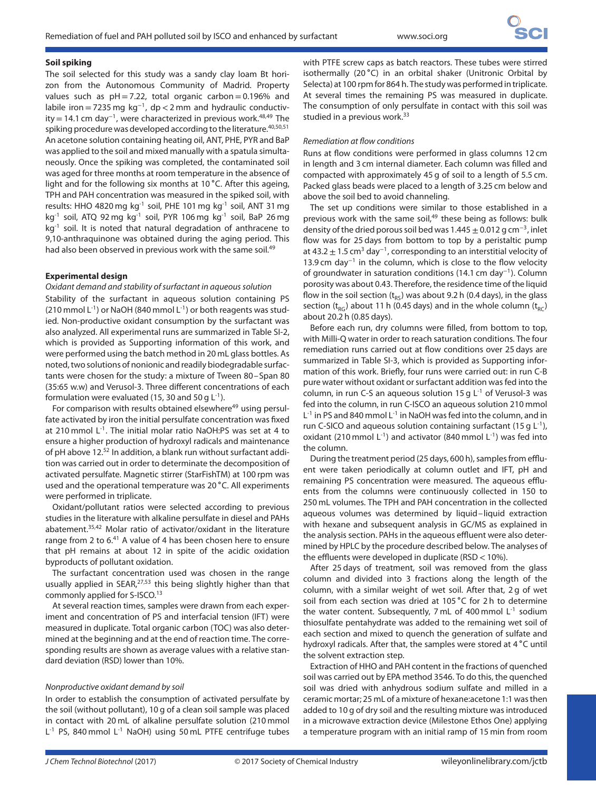#### **Soil spiking**

The soil selected for this study was a sandy clay loam Bt horizon from the Autonomous Community of Madrid. Property values such as  $pH = 7.22$ , total organic carbon=0.196% and labile iron=7235 mg kg<sup>−</sup>1, dp*<*2 mm and hydraulic conductivity = 14.1 cm day<sup>-1</sup>, were characterized in previous work.<sup>48,49</sup> The spiking procedure was developed according to the literature.  $40,50,51$ An acetone solution containing heating oil, ANT, PHE, PYR and BaP was applied to the soil and mixed manually with a spatula simultaneously. Once the spiking was completed, the contaminated soil was aged for three months at room temperature in the absence of light and for the following six months at 10 ∘C. After this ageing, TPH and PAH concentration was measured in the spiked soil, with results: HHO 4820 mg kg<sup>-1</sup> soil, PHE 101 mg kg<sup>-1</sup> soil, ANT 31 mg kg<sup>-1</sup> soil, ATQ 92 mg kg<sup>-1</sup> soil, PYR 106 mg kg<sup>-1</sup> soil, BaP 26 mg  $kg<sup>-1</sup>$  soil. It is noted that natural degradation of anthracene to 9,10-anthraquinone was obtained during the aging period. This had also been observed in previous work with the same soil.<sup>49</sup>

#### **Experimental design**

#### Oxidant demand and stability of surfactant in aqueous solution

Stability of the surfactant in aqueous solution containing PS  $(210 \text{ mmol L}^{-1})$  or NaOH  $(840 \text{ mmol L}^{-1})$  or both reagents was studied. Non-productive oxidant consumption by the surfactant was also analyzed. All experimental runs are summarized in Table SI-2, which is provided as Supporting information of this work, and were performed using the batch method in 20 mL glass bottles. As noted, two solutions of nonionic and readily biodegradable surfactants were chosen for the study: a mixture of Tween 80–Span 80 (35:65 w.w) and Verusol-3. Three different concentrations of each formulation were evaluated (15, 30 and 50 g  $L^{-1}$ ).

For comparison with results obtained elsewhere<sup>49</sup> using persulfate activated by iron the initial persulfate concentration was fixed at 210 mmol L<sup>-1</sup>. The initial molar ratio NaOH:PS was set at 4 to ensure a higher production of hydroxyl radicals and maintenance of pH above 12.52 In addition, a blank run without surfactant addition was carried out in order to determinate the decomposition of activated persulfate. Magnetic stirrer (StarFishTM) at 100 rpm was used and the operational temperature was 20 ∘C. All experiments were performed in triplicate.

Oxidant/pollutant ratios were selected according to previous studies in the literature with alkaline persulfate in diesel and PAHs abatement.35,42 Molar ratio of activator/oxidant in the literature range from 2 to 6.<sup>41</sup> A value of 4 has been chosen here to ensure that pH remains at about 12 in spite of the acidic oxidation byproducts of pollutant oxidation.

The surfactant concentration used was chosen in the range usually applied in SEAR,<sup>27,53</sup> this being slightly higher than that commonly applied for S-ISCO.<sup>13</sup>

At several reaction times, samples were drawn from each experiment and concentration of PS and interfacial tension (IFT) were measured in duplicate. Total organic carbon (TOC) was also determined at the beginning and at the end of reaction time. The corresponding results are shown as average values with a relative standard deviation (RSD) lower than 10%.

#### Nonproductive oxidant demand by soil

In order to establish the consumption of activated persulfate by the soil (without pollutant), 10 g of a clean soil sample was placed in contact with 20 mL of alkaline persulfate solution (210 mmol L<sup>-1</sup> PS, 840 mmol L<sup>-1</sup> NaOH) using 50 mL PTFE centrifuge tubes with PTFE screw caps as batch reactors. These tubes were stirred isothermally (20 ∘C) in an orbital shaker (Unitronic Orbital by Selecta) at 100 rpm for 864 h. The study was performed in triplicate. At several times the remaining PS was measured in duplicate. The consumption of only persulfate in contact with this soil was studied in a previous work.<sup>33</sup>

#### Remediation at flow conditions

Runs at flow conditions were performed in glass columns 12 cm in length and 3 cm internal diameter. Each column was filled and compacted with approximately 45 g of soil to a length of 5.5 cm. Packed glass beads were placed to a length of 3.25 cm below and above the soil bed to avoid channeling.

The set up conditions were similar to those established in a previous work with the same soil,<sup>49</sup> these being as follows: bulk density of the dried porous soil bed was  $1.445 \pm 0.012$  g cm<sup>-3</sup>, inlet flow was for 25 days from bottom to top by a peristaltic pump at 43.2  $\pm$  1.5 cm<sup>3</sup> day<sup>-1</sup>, corresponding to an interstitial velocity of 13.9 cm day<sup>-1</sup> in the column, which is close to the flow velocity of groundwater in saturation conditions (14.1 cm day<sup>−</sup>1). Column porosity was about 0.43. Therefore, the residence time of the liquid flow in the soil section  $(t_{RS})$  was about 9.2 h (0.4 days), in the glass section ( $t_{RC}$ ) about 11 h (0.45 days) and in the whole column ( $t_{RC}$ ) about 20.2 h (0.85 days).

Before each run, dry columns were filled, from bottom to top, with Milli-Q water in order to reach saturation conditions. The four remediation runs carried out at flow conditions over 25 days are summarized in Table SI-3, which is provided as Supporting information of this work. Briefly, four runs were carried out: in run C-B pure water without oxidant or surfactant addition was fed into the column, in run C-S an aqueous solution 15 g  $L^{-1}$  of Verusol-3 was fed into the column, in run C-ISCO an aqueous solution 210 mmol L<sup>-1</sup> in PS and 840 mmol L<sup>-1</sup> in NaOH was fed into the column, and in run C-SICO and aqueous solution containing surfactant (15 g  $L^{-1}$ ), oxidant (210 mmol  $L^{-1}$ ) and activator (840 mmol  $L^{-1}$ ) was fed into the column.

During the treatment period (25 days, 600 h), samples from effluent were taken periodically at column outlet and IFT, pH and remaining PS concentration were measured. The aqueous effluents from the columns were continuously collected in 150 to 250 mL volumes. The TPH and PAH concentration in the collected aqueous volumes was determined by liquid–liquid extraction with hexane and subsequent analysis in GC/MS as explained in the analysis section. PAHs in the aqueous effluent were also determined by HPLC by the procedure described below. The analyses of the effluents were developed in duplicate (RSD*<*10%).

After 25 days of treatment, soil was removed from the glass column and divided into 3 fractions along the length of the column, with a similar weight of wet soil. After that, 2 g of wet soil from each section was dried at 105 ∘C for 2 h to determine the water content. Subsequently, 7 mL of 400 mmol  $L^{-1}$  sodium thiosulfate pentahydrate was added to the remaining wet soil of each section and mixed to quench the generation of sulfate and hydroxyl radicals. After that, the samples were stored at 4 ∘C until the solvent extraction step.

Extraction of HHO and PAH content in the fractions of quenched soil was carried out by EPA method 3546. To do this, the quenched soil was dried with anhydrous sodium sulfate and milled in a ceramic mortar; 25 mL of a mixture of hexane:acetone 1:1 was then added to 10 g of dry soil and the resulting mixture was introduced in a microwave extraction device (Milestone Ethos One) applying a temperature program with an initial ramp of 15 min from room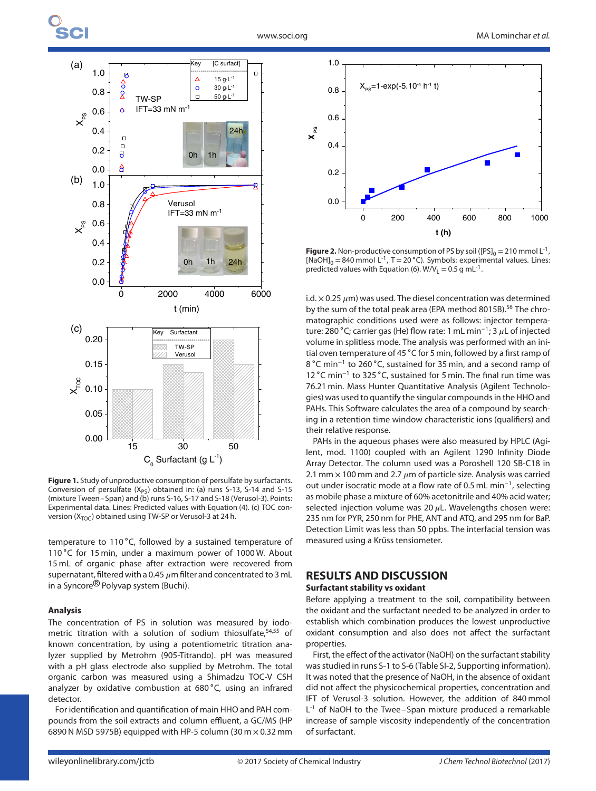

**Figure 1.** Study of unproductive consumption of persulfate by surfactants. Conversion of persulfate  $(X_{PS})$  obtained in: (a) runs S-13, S-14 and S-15 (mixture Tween–Span) and (b) runs S-16, S-17 and S-18 (Verusol-3). Points: Experimental data. Lines: Predicted values with Equation (4). (c) TOC conversion ( $X_{TOC}$ ) obtained using TW-SP or Verusol-3 at 24 h.

temperature to 110 °C, followed by a sustained temperature of 110 ∘C for 15 min, under a maximum power of 1000 W. About 15 mL of organic phase after extraction were recovered from supernatant, filtered with a 0.45  $\mu$ m filter and concentrated to 3 mL in a Syncore<sup>®</sup> Polyvap system (Buchi).

#### **Analysis**

The concentration of PS in solution was measured by iodometric titration with a solution of sodium thiosulfate,<sup>54,55</sup> of known concentration, by using a potentiometric titration analyzer supplied by Metrohm (905-Titrando). pH was measured with a pH glass electrode also supplied by Metrohm. The total organic carbon was measured using a Shimadzu TOC-V CSH analyzer by oxidative combustion at 680 ∘C, using an infrared detector.

For identification and quantification of main HHO and PAH compounds from the soil extracts and column effluent, a GC/MS (HP 6890 N MSD 5975B) equipped with HP-5 column (30 m  $\times$  0.32 mm



**Figure 2.** Non-productive consumption of PS by soil ( $[PS]_0 = 210$  mmol L<sup>-1</sup>,  $[NaOH]_0 = 840$  mmol L<sup>-1</sup>, T = 20 °C). Symbols: experimental values. Lines: predicted values with Equation (6).  $W/V_L = 0.5$  g mL<sup>-1</sup>.

i.d.  $\times$  0.25  $\mu$ m) was used. The diesel concentration was determined by the sum of the total peak area (EPA method 8015B).<sup>56</sup> The chromatographic conditions used were as follows: injector temperature: 280 °C; carrier gas (He) flow rate: 1 mL min<sup>-1</sup>; 3 μL of injected volume in splitless mode. The analysis was performed with an initial oven temperature of 45 ∘C for 5 min, followed by a first ramp of 8 ∘C min<sup>−</sup><sup>1</sup> to 260 ∘C, sustained for 35 min, and a second ramp of 12 ∘C min<sup>−</sup><sup>1</sup> to 325 ∘C, sustained for 5 min. The final run time was 76.21 min. Mass Hunter Quantitative Analysis (Agilent Technologies) was used to quantify the singular compounds in the HHO and PAHs. This Software calculates the area of a compound by searching in a retention time window characteristic ions (qualifiers) and their relative response.

PAHs in the aqueous phases were also measured by HPLC (Agilent, mod. 1100) coupled with an Agilent 1290 Infinity Diode Array Detector. The column used was a Poroshell 120 SB-C18 in 2.1 mm  $\times$  100 mm and 2.7  $\mu$ m of particle size. Analysis was carried out under isocratic mode at a flow rate of 0.5 mL min<sup>−</sup>1, selecting as mobile phase a mixture of 60% acetonitrile and 40% acid water; selected injection volume was 20  $\mu$ L. Wavelengths chosen were: 235 nm for PYR, 250 nm for PHE, ANT and ATQ, and 295 nm for BaP. Detection Limit was less than 50 ppbs. The interfacial tension was measured using a Krüss tensiometer.

## **RESULTS AND DISCUSSION**

#### **Surfactant stability vs oxidant**

Before applying a treatment to the soil, compatibility between the oxidant and the surfactant needed to be analyzed in order to establish which combination produces the lowest unproductive oxidant consumption and also does not affect the surfactant properties.

First, the effect of the activator (NaOH) on the surfactant stability was studied in runs S-1 to S-6 (Table SI-2, Supporting information). It was noted that the presence of NaOH, in the absence of oxidant did not affect the physicochemical properties, concentration and IFT of Verusol-3 solution. However, the addition of 840 mmol L<sup>-1</sup> of NaOH to the Twee–Span mixture produced a remarkable increase of sample viscosity independently of the concentration of surfactant.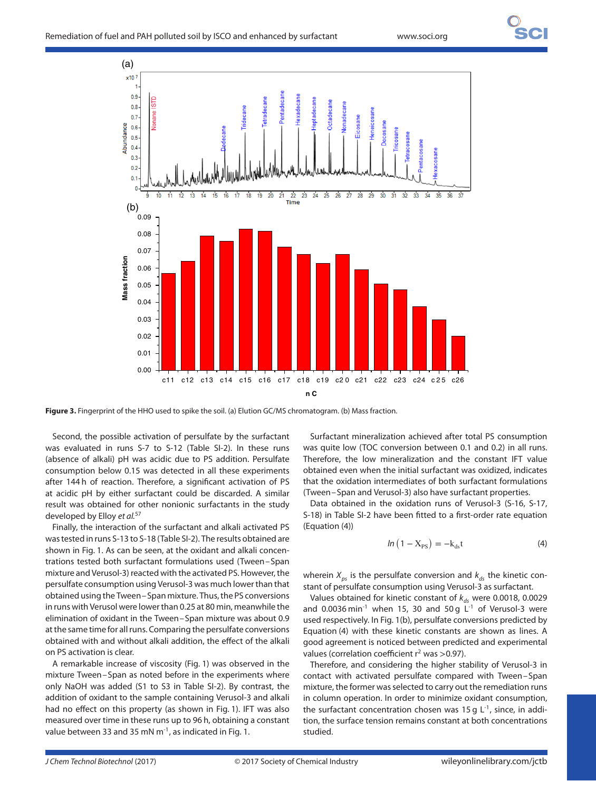

**Figure 3.** Fingerprint of the HHO used to spike the soil. (a) Elution GC/MS chromatogram. (b) Mass fraction.

Second, the possible activation of persulfate by the surfactant was evaluated in runs S-7 to S-12 (Table SI-2). In these runs (absence of alkali) pH was acidic due to PS addition. Persulfate consumption below 0.15 was detected in all these experiments after 144 h of reaction. Therefore, a significant activation of PS at acidic pH by either surfactant could be discarded. A similar result was obtained for other nonionic surfactants in the study developed by Elloy et al.<sup>57</sup>

Finally, the interaction of the surfactant and alkali activated PS was tested in runs S-13 to S-18 (Table SI-2). The results obtained are shown in Fig. 1. As can be seen, at the oxidant and alkali concentrations tested both surfactant formulations used (Tween–Span mixture and Verusol-3) reacted with the activated PS. However, the persulfate consumption using Verusol-3 was much lower than that obtained using the Tween–Span mixture. Thus, the PS conversions in runs with Verusol were lower than 0.25 at 80 min, meanwhile the elimination of oxidant in the Tween–Span mixture was about 0.9 at the same time for all runs. Comparing the persulfate conversions obtained with and without alkali addition, the effect of the alkali on PS activation is clear.

A remarkable increase of viscosity (Fig. 1) was observed in the mixture Tween–Span as noted before in the experiments where only NaOH was added (S1 to S3 in Table SI-2). By contrast, the addition of oxidant to the sample containing Verusol-3 and alkali had no effect on this property (as shown in Fig. 1). IFT was also measured over time in these runs up to 96 h, obtaining a constant value between 33 and 35 mN  $m^{-1}$ , as indicated in Fig. 1.

Surfactant mineralization achieved after total PS consumption was quite low (TOC conversion between 0.1 and 0.2) in all runs. Therefore, the low mineralization and the constant IFT value obtained even when the initial surfactant was oxidized, indicates that the oxidation intermediates of both surfactant formulations (Tween–Span and Verusol-3) also have surfactant properties.

Data obtained in the oxidation runs of Verusol-3 (S-16, S-17, S-18) in Table SI-2 have been fitted to a first-order rate equation (Equation (4))

$$
ln (1 - X_{PS}) = -k_{ds}t
$$
 (4)

wherein  $X_{ps}$  is the persulfate conversion and  $k_{ds}$  the kinetic constant of persulfate consumption using Verusol-3 as surfactant.

Values obtained for kinetic constant of  $k_{ds}$  were 0.0018, 0.0029 and 0.0036 min<sup>-1</sup> when 15, 30 and 50 g  $L^{-1}$  of Verusol-3 were used respectively. In Fig. 1(b), persulfate conversions predicted by Equation (4) with these kinetic constants are shown as lines. A good agreement is noticed between predicted and experimental values (correlation coefficient r<sup>2</sup> was >0.97).

Therefore, and considering the higher stability of Verusol-3 in contact with activated persulfate compared with Tween–Span mixture, the former was selected to carry out the remediation runs in column operation. In order to minimize oxidant consumption, the surfactant concentration chosen was 15 g  $L^{-1}$ , since, in addition, the surface tension remains constant at both concentrations studied.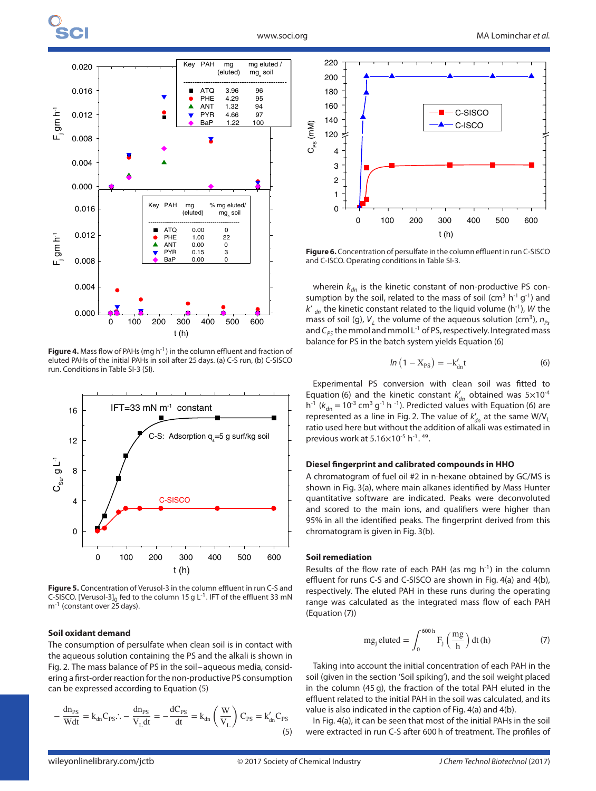

**Figure 4.** Mass flow of PAHs (mg h<sup>-1</sup>) in the column effluent and fraction of eluted PAHs of the initial PAHs in soil after 25 days. (a) C-S run, (b) C-SISCO run. Conditions in Table SI-3 (SI).



**Figure 5.** Concentration of Verusol-3 in the column effluent in run C-S and C-SISCO. [Verusol-3]<sub>0</sub> fed to the column 15 g L<sup>-1</sup>. IFT of the effluent 33 mN m<sup>-1</sup> (constant over 25 days).

#### **Soil oxidant demand**

The consumption of persulfate when clean soil is in contact with the aqueous solution containing the PS and the alkali is shown in Fig. 2. The mass balance of PS in the soil–aqueous media, considering a first-order reaction for the non-productive PS consumption can be expressed according to Equation (5)

$$
-\frac{dn_{PS}}{Wdt} = k_{dn}C_{PS} \therefore -\frac{dn_{PS}}{V_L dt} = -\frac{dC_{PS}}{dt} = k_{dn} \left(\frac{W}{V_L}\right) C_{PS} = k'_{dn}C_{PS}
$$
\n(5)



**Figure 6.** Concentration of persulfate in the column effluent in run C-SISCO and C-ISCO. Operating conditions in Table SI-3.

wherein  $k_{dn}$  is the kinetic constant of non-productive PS consumption by the soil, related to the mass of soil (cm<sup>3</sup> h<sup>-1</sup> g<sup>-1</sup>) and  $k'$  dn the kinetic constant related to the liquid volume (h<sup>-1</sup>), W the mass of soil (g),  $V_L$  the volume of the aqueous solution (cm<sup>3</sup>),  $n_{Ps}$ and  $C_{pS}$  the mmol and mmol L<sup>-1</sup> of PS, respectively. Integrated mass balance for PS in the batch system yields Equation (6)

$$
ln(1 - X_{PS}) = -k'_{dn}t
$$
 (6)

Experimental PS conversion with clean soil was fitted to Equation (6) and the kinetic constant  $k'_{dn}$  obtained was  $5\times10^{-4}$  $h^{-1}$  ( $k_{dn} = 10^{-3}$  cm<sup>3</sup> g<sup>-1</sup> h<sup>-1</sup>). Predicted values with Equation (6) are represented as a line in Fig. 2. The value of  $k'_{dn}$  at the same  $W/V_l$ ratio used here but without the addition of alkali was estimated in previous work at  $5.16\times10^{-5}$  h<sup>-1</sup>.<sup>49</sup>.

#### **Diesel fingerprint and calibrated compounds in HHO**

A chromatogram of fuel oil #2 in n-hexane obtained by GC/MS is shown in Fig. 3(a), where main alkanes identified by Mass Hunter quantitative software are indicated. Peaks were deconvoluted and scored to the main ions, and qualifiers were higher than 95% in all the identified peaks. The fingerprint derived from this chromatogram is given in Fig. 3(b).

#### **Soil remediation**

Results of the flow rate of each PAH (as mg  $h^{-1}$ ) in the column effluent for runs C-S and C-SISCO are shown in Fig. 4(a) and 4(b), respectively. The eluted PAH in these runs during the operating range was calculated as the integrated mass flow of each PAH (Equation (7))

$$
mg_jeltuted = \int_0^{600h} F_j \left(\frac{mg}{h}\right) dt(h)
$$
 (7)

Taking into account the initial concentration of each PAH in the soil (given in the section 'Soil spiking'), and the soil weight placed in the column (45 g), the fraction of the total PAH eluted in the effluent related to the initial PAH in the soil was calculated, and its value is also indicated in the caption of Fig. 4(a) and 4(b).

In Fig. 4(a), it can be seen that most of the initial PAHs in the soil were extracted in run C-S after 600 h of treatment. The profiles of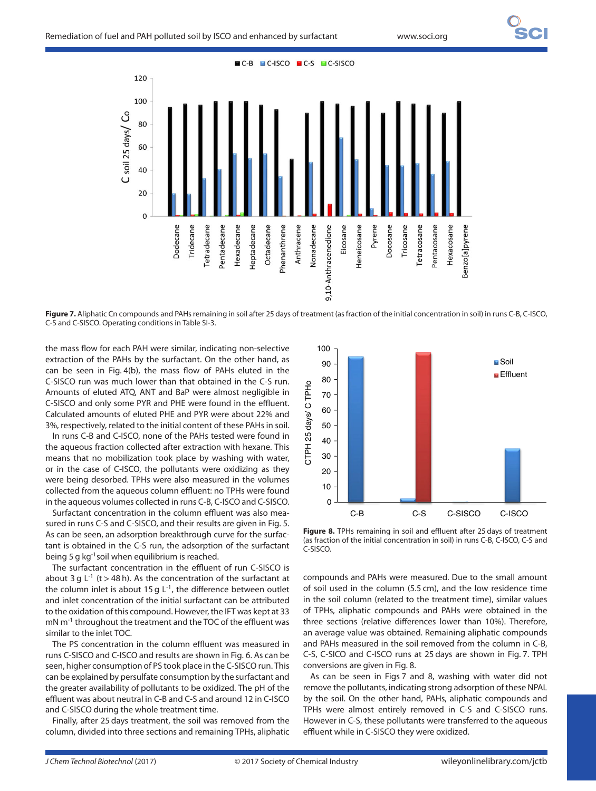

**Figure 7.** Aliphatic Cn compounds and PAHs remaining in soil after 25 days of treatment (as fraction of the initial concentration in soil) in runs C-B, C-ISCO, C-S and C-SISCO. Operating conditions in Table SI-3.

the mass flow for each PAH were similar, indicating non-selective extraction of the PAHs by the surfactant. On the other hand, as can be seen in Fig. 4(b), the mass flow of PAHs eluted in the C-SISCO run was much lower than that obtained in the C-S run. Amounts of eluted ATQ, ANT and BaP were almost negligible in C-SISCO and only some PYR and PHE were found in the effluent. Calculated amounts of eluted PHE and PYR were about 22% and 3%, respectively, related to the initial content of these PAHs in soil.

In runs C-B and C-ISCO, none of the PAHs tested were found in the aqueous fraction collected after extraction with hexane. This means that no mobilization took place by washing with water, or in the case of C-ISCO, the pollutants were oxidizing as they were being desorbed. TPHs were also measured in the volumes collected from the aqueous column effluent: no TPHs were found in the aqueous volumes collected in runs C-B, C-ISCO and C-SISCO.

Surfactant concentration in the column effluent was also measured in runs C-S and C-SISCO, and their results are given in Fig. 5. As can be seen, an adsorption breakthrough curve for the surfactant is obtained in the C-S run, the adsorption of the surfactant being 5 g kg<sup>-1</sup> soil when equilibrium is reached.

The surfactant concentration in the effluent of run C-SISCO is about 3 g L-1 (t*>*48 h). As the concentration of the surfactant at the column inlet is about 15 g  $L^{-1}$ , the difference between outlet and inlet concentration of the initial surfactant can be attributed to the oxidation of this compound. However, the IFT was kept at 33 mN m<sup>-1</sup> throughout the treatment and the TOC of the effluent was similar to the inlet TOC.

The PS concentration in the column effluent was measured in runs C-SISCO and C-ISCO and results are shown in Fig. 6. As can be seen, higher consumption of PS took place in the C-SISCO run. This can be explained by persulfate consumption by the surfactant and the greater availability of pollutants to be oxidized. The pH of the effluent was about neutral in C-B and C-S and around 12 in C-ISCO and C-SISCO during the whole treatment time.

Finally, after 25 days treatment, the soil was removed from the column, divided into three sections and remaining TPHs, aliphatic



**Figure 8.** TPHs remaining in soil and effluent after 25 days of treatment (as fraction of the initial concentration in soil) in runs C-B, C-ISCO, C-S and C-SISCO.

compounds and PAHs were measured. Due to the small amount of soil used in the column (5.5 cm), and the low residence time in the soil column (related to the treatment time), similar values of TPHs, aliphatic compounds and PAHs were obtained in the three sections (relative differences lower than 10%). Therefore, an average value was obtained. Remaining aliphatic compounds and PAHs measured in the soil removed from the column in C-B, C-S, C-SICO and C-ISCO runs at 25 days are shown in Fig. 7. TPH conversions are given in Fig. 8.

As can be seen in Figs 7 and 8, washing with water did not remove the pollutants, indicating strong adsorption of these NPAL by the soil. On the other hand, PAHs, aliphatic compounds and TPHs were almost entirely removed in C-S and C-SISCO runs. However in C-S, these pollutants were transferred to the aqueous effluent while in C-SISCO they were oxidized.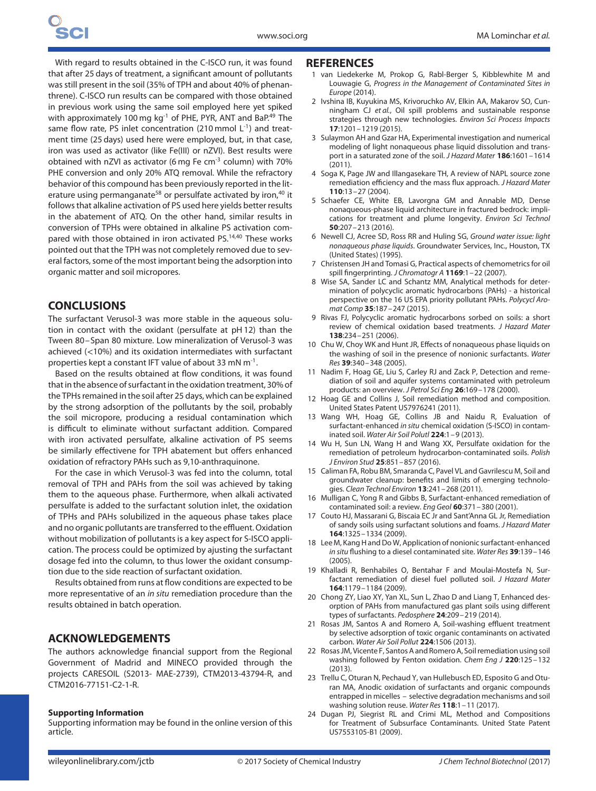With regard to results obtained in the C-ISCO run, it was found that after 25 days of treatment, a significant amount of pollutants was still present in the soil (35% of TPH and about 40% of phenanthrene). C-ISCO run results can be compared with those obtained in previous work using the same soil employed here yet spiked with approximately 100 mg kg<sup>-1</sup> of PHE, PYR, ANT and BaP.<sup>49</sup> The same flow rate, PS inlet concentration (210 mmol  $L^{-1}$ ) and treatment time (25 days) used here were employed, but, in that case, iron was used as activator (like Fe(III) or nZVI). Best results were obtained with nZVI as activator (6 mg Fe cm-3 column) with 70% PHE conversion and only 20% ATQ removal. While the refractory behavior of this compound has been previously reported in the literature using permanganate<sup>58</sup> or persulfate activated by iron,<sup>40</sup> it follows that alkaline activation of PS used here yields better results in the abatement of ATQ. On the other hand, similar results in conversion of TPHs were obtained in alkaline PS activation compared with those obtained in iron activated PS.<sup>14,40</sup> These works pointed out that the TPH was not completely removed due to several factors, some of the most important being the adsorption into organic matter and soil micropores.

## **CONCLUSIONS**

The surfactant Verusol-3 was more stable in the aqueous solution in contact with the oxidant (persulfate at pH 12) than the Tween 80–Span 80 mixture. Low mineralization of Verusol-3 was achieved (*<*10%) and its oxidation intermediates with surfactant properties kept a constant IFT value of about 33 mN  $m^{-1}$ .

Based on the results obtained at flow conditions, it was found that in the absence of surfactant in the oxidation treatment, 30% of the TPHs remained in the soil after 25 days, which can be explained by the strong adsorption of the pollutants by the soil, probably the soil micropore, producing a residual contamination which is difficult to eliminate without surfactant addition. Compared with iron activated persulfate, alkaline activation of PS seems be similarly effectivene for TPH abatement but offers enhanced oxidation of refractory PAHs such as 9,10-anthraquinone.

For the case in which Verusol-3 was fed into the column, total removal of TPH and PAHs from the soil was achieved by taking them to the aqueous phase. Furthermore, when alkali activated persulfate is added to the surfactant solution inlet, the oxidation of TPHs and PAHs solubilized in the aqueous phase takes place and no organic pollutants are transferred to the effluent. Oxidation without mobilization of pollutants is a key aspect for S-ISCO application. The process could be optimized by ajusting the surfactant dosage fed into the column, to thus lower the oxidant consumption due to the side reaction of surfactant oxidation.

Results obtained from runs at flow conditions are expected to be more representative of an in situ remediation procedure than the results obtained in batch operation.

## **ACKNOWLEDGEMENTS**

The authors acknowledge financial support from the Regional Government of Madrid and MINECO provided through the projects CARESOIL (S2013- MAE-2739), CTM2013-43794-R, and CTM2016-77151-C2-1-R.

#### **Supporting Information**

Supporting information may be found in the online version of this article.

#### **REFERENCES**

- 1 van Liedekerke M, Prokop G, Rabl-Berger S, Kibblewhite M and Louwagie G, Progress in the Management of Contaminated Sites in Europe (2014).
- 2 Ivshina IB, Kuyukina MS, Krivoruchko AV, Elkin AA, Makarov SO, Cunningham CJ et al., Oil spill problems and sustainable response strategies through new technologies. Environ Sci Process Impacts **17**:1201–1219 (2015).
- 3 Sulaymon AH and Gzar HA, Experimental investigation and numerical modeling of light nonaqueous phase liquid dissolution and transport in a saturated zone of the soil. J Hazard Mater **186**:1601–1614  $(2011)$
- 4 Soga K, Page JW and Illangasekare TH, A review of NAPL source zone remediation efficiency and the mass flux approach. J Hazard Mater **110**:13–27 (2004).
- 5 Schaefer CE, White EB, Lavorgna GM and Annable MD, Dense nonaqueous-phase liquid architecture in fractured bedrock: implications for treatment and plume longevity. Environ Sci Technol **50**:207–213 (2016).
- 6 Newell CJ, Acree SD, Ross RR and Huling SG, Ground water issue: light nonaqueous phase liquids. Groundwater Services, Inc., Houston, TX (United States) (1995).
- 7 Christensen JH and Tomasi G, Practical aspects of chemometrics for oil spill fingerprinting. J Chromatogr A **1169**:1–22 (2007).
- 8 Wise SA, Sander LC and Schantz MM, Analytical methods for determination of polycyclic aromatic hydrocarbons (PAHs) - a historical perspective on the 16 US EPA priority pollutant PAHs. Polycycl Aromat Comp **35**:187–247 (2015).
- 9 Rivas FJ, Polycyclic aromatic hydrocarbons sorbed on soils: a short review of chemical oxidation based treatments. J Hazard Mater **138**:234–251 (2006).
- 10 Chu W, Choy WK and Hunt JR, Effects of nonaqueous phase liquids on the washing of soil in the presence of nonionic surfactants. Water Res **39**:340–348 (2005).
- 11 Nadim F, Hoag GE, Liu S, Carley RJ and Zack P, Detection and remediation of soil and aquifer systems contaminated with petroleum products: an overview. J Petrol Sci Eng **26**:169–178 (2000).
- 12 Hoag GE and Collins J, Soil remediation method and composition. United States Patent US7976241 (2011).
- 13 Wang WH, Hoag GE, Collins JB and Naidu R, Evaluation of surfactant-enhanced in situ chemical oxidation (S-ISCO) in contaminated soil. Water Air Soil Polutl **224**:1–9 (2013).
- 14 Wu H, Sun LN, Wang H and Wang XX, Persulfate oxidation for the remediation of petroleum hydrocarbon-contaminated soils. Polish J Environ Stud **25**:851–857 (2016).
- 15 Caliman FA, Robu BM, Smaranda C, Pavel VL and Gavrilescu M, Soil and groundwater cleanup: benefits and limits of emerging technologies. Clean Technol Environ **13**:241–268 (2011).
- 16 Mulligan C, Yong R and Gibbs B, Surfactant-enhanced remediation of contaminated soil: a review. Eng Geol **60**:371–380 (2001).
- 17 Couto HJ, Massarani G, Biscaia EC Jr and Sant'Anna GL Jr, Remediation of sandy soils using surfactant solutions and foams. J Hazard Mater **164**:1325–1334 (2009).
- 18 Lee M, Kang H and Do W, Application of nonionic surfactant-enhanced in situ flushing to a diesel contaminated site. Water Res **39**:139–146 (2005).
- 19 Khalladi R, Benhabiles O, Bentahar F and Moulai-Mostefa N, Surfactant remediation of diesel fuel polluted soil. J Hazard Mater **164**:1179–1184 (2009).
- 20 Chong ZY, Liao XY, Yan XL, Sun L, Zhao D and Liang T, Enhanced desorption of PAHs from manufactured gas plant soils using different types of surfactants. Pedosphere **24**:209–219 (2014).
- 21 Rosas JM, Santos A and Romero A, Soil-washing effluent treatment by selective adsorption of toxic organic contaminants on activated carbon. Water Air Soil Pollut **224**:1506 (2013).
- 22 Rosas JM, Vicente F, Santos A and Romero A, Soil remediation using soil washing followed by Fenton oxidation. Chem Eng J **220**:125–132 (2013).
- 23 Trellu C, Oturan N, Pechaud Y, van Hullebusch ED, Esposito G and Oturan MA, Anodic oxidation of surfactants and organic compounds entrapped in micelles – selective degradation mechanisms and soil washing solution reuse. Water Res **118**:1–11 (2017).
- 24 Dugan PJ, Siegrist RL and Crimi ML, Method and Compositions for Treatment of Subsurface Contaminants. United State Patent US7553105-B1 (2009).